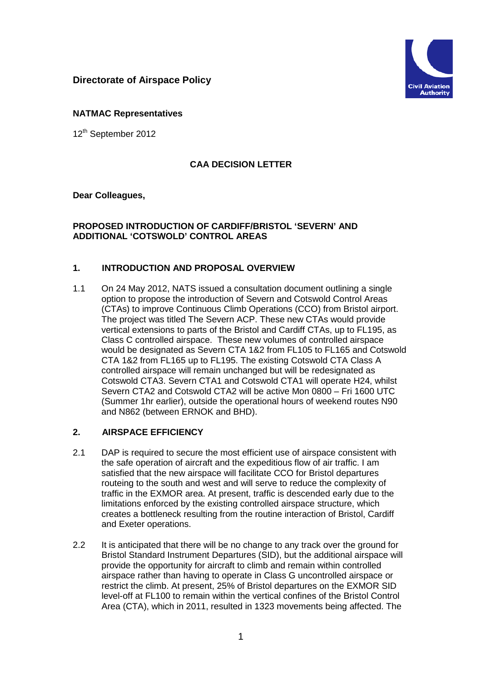# **Directorate of Airspace Policy**



#### **NATMAC Representatives**

12<sup>th</sup> September 2012

### **CAA DECISION LETTER**

#### **Dear Colleagues,**

#### **PROPOSED INTRODUCTION OF CARDIFF/BRISTOL 'SEVERN' AND ADDITIONAL 'COTSWOLD' CONTROL AREAS**

### **1. INTRODUCTION AND PROPOSAL OVERVIEW**

1.1 On 24 May 2012, NATS issued a consultation document outlining a single option to propose the introduction of Severn and Cotswold Control Areas (CTAs) to improve Continuous Climb Operations (CCO) from Bristol airport. The project was titled The Severn ACP. These new CTAs would provide vertical extensions to parts of the Bristol and Cardiff CTAs, up to FL195, as Class C controlled airspace. These new volumes of controlled airspace would be designated as Severn CTA 1&2 from FL105 to FL165 and Cotswold CTA 1&2 from FL165 up to FL195. The existing Cotswold CTA Class A controlled airspace will remain unchanged but will be redesignated as Cotswold CTA3. Severn CTA1 and Cotswold CTA1 will operate H24, whilst Severn CTA2 and Cotswold CTA2 will be active Mon 0800 – Fri 1600 UTC (Summer 1hr earlier), outside the operational hours of weekend routes N90 and N862 (between ERNOK and BHD).

### **2. AIRSPACE EFFICIENCY**

- 2.1 DAP is required to secure the most efficient use of airspace consistent with the safe operation of aircraft and the expeditious flow of air traffic. I am satisfied that the new airspace will facilitate CCO for Bristol departures routeing to the south and west and will serve to reduce the complexity of traffic in the EXMOR area. At present, traffic is descended early due to the limitations enforced by the existing controlled airspace structure, which creates a bottleneck resulting from the routine interaction of Bristol, Cardiff and Exeter operations.
- 2.2 It is anticipated that there will be no change to any track over the ground for Bristol Standard Instrument Departures (SID), but the additional airspace will provide the opportunity for aircraft to climb and remain within controlled airspace rather than having to operate in Class G uncontrolled airspace or restrict the climb. At present, 25% of Bristol departures on the EXMOR SID level-off at FL100 to remain within the vertical confines of the Bristol Control Area (CTA), which in 2011, resulted in 1323 movements being affected. The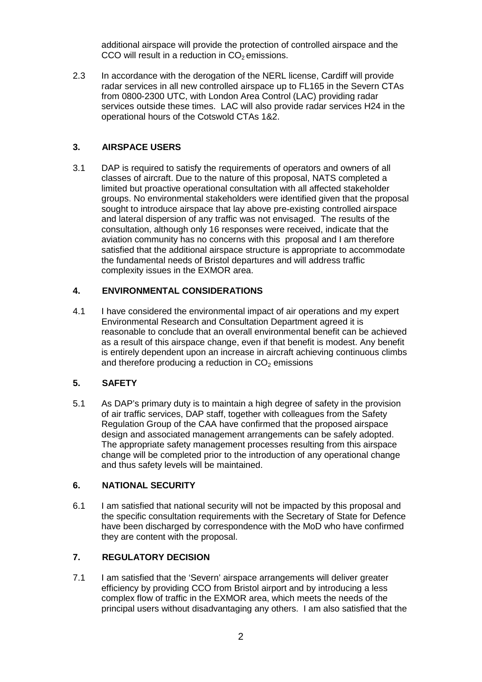additional airspace will provide the protection of controlled airspace and the CCO will result in a reduction in  $CO<sub>2</sub>$  emissions.

2.3 In accordance with the derogation of the NERL license, Cardiff will provide radar services in all new controlled airspace up to FL165 in the Severn CTAs from 0800-2300 UTC, with London Area Control (LAC) providing radar services outside these times. LAC will also provide radar services H24 in the operational hours of the Cotswold CTAs 1&2.

## **3. AIRSPACE USERS**

3.1 DAP is required to satisfy the requirements of operators and owners of all classes of aircraft. Due to the nature of this proposal, NATS completed a limited but proactive operational consultation with all affected stakeholder groups. No environmental stakeholders were identified given that the proposal sought to introduce airspace that lay above pre-existing controlled airspace and lateral dispersion of any traffic was not envisaged. The results of the consultation, although only 16 responses were received, indicate that the aviation community has no concerns with this proposal and I am therefore satisfied that the additional airspace structure is appropriate to accommodate the fundamental needs of Bristol departures and will address traffic complexity issues in the EXMOR area.

### **4. ENVIRONMENTAL CONSIDERATIONS**

4.1 I have considered the environmental impact of air operations and my expert Environmental Research and Consultation Department agreed it is reasonable to conclude that an overall environmental benefit can be achieved as a result of this airspace change, even if that benefit is modest. Any benefit is entirely dependent upon an increase in aircraft achieving continuous climbs and therefore producing a reduction in  $CO<sub>2</sub>$  emissions

# **5. SAFETY**

5.1 As DAP's primary duty is to maintain a high degree of safety in the provision of air traffic services, DAP staff, together with colleagues from the Safety Regulation Group of the CAA have confirmed that the proposed airspace design and associated management arrangements can be safely adopted. The appropriate safety management processes resulting from this airspace change will be completed prior to the introduction of any operational change and thus safety levels will be maintained.

### **6. NATIONAL SECURITY**

6.1 I am satisfied that national security will not be impacted by this proposal and the specific consultation requirements with the Secretary of State for Defence have been discharged by correspondence with the MoD who have confirmed they are content with the proposal.

# **7. REGULATORY DECISION**

7.1 I am satisfied that the 'Severn' airspace arrangements will deliver greater efficiency by providing CCO from Bristol airport and by introducing a less complex flow of traffic in the EXMOR area, which meets the needs of the principal users without disadvantaging any others. I am also satisfied that the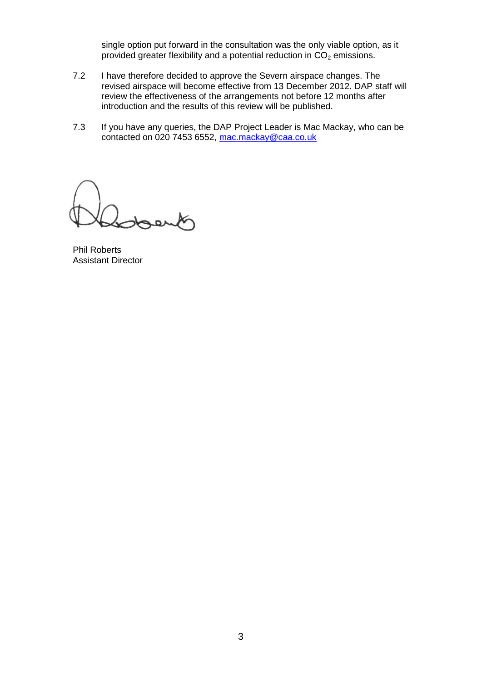single option put forward in the consultation was the only viable option, as it provided greater flexibility and a potential reduction in  $CO<sub>2</sub>$  emissions.

- 7.2 I have therefore decided to approve the Severn airspace changes. The revised airspace will become effective from 13 December 2012. DAP staff will review the effectiveness of the arrangements not before 12 months after introduction and the results of this review will be published.
- 7.3 If you have any queries, the DAP Project Leader is Mac Mackay, who can be contacted on 020 7453 6552, [mac.mackay@caa.co.uk](mailto:mac.mackay@caa.co.uk)

Phil Roberts Assistant Director